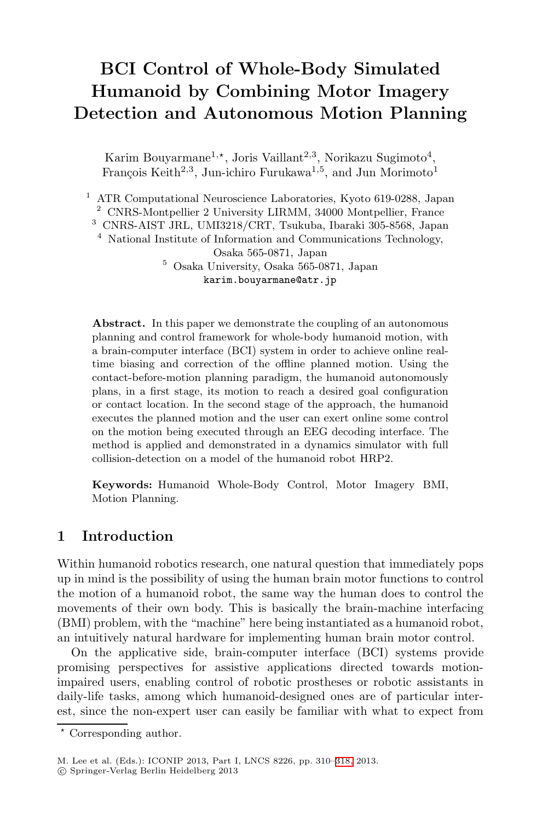# **BCI Control of Whole-Body Simulated Humanoid by Combining Motor Imagery Detection and Autonomous Motion Planning**

Karim Bouyarmane<sup>1,\*</sup>, Joris Vaillant<sup>2,3</sup>, Norikazu Sugimoto<sup>4</sup>, François Keith<sup>2,3</sup>, Jun-ichiro Furukawa<sup>1,5</sup>, and Jun Morimoto<sup>1</sup>

<sup>1</sup> ATR Computational Neuroscience Laboratories, Kyoto 619-0288, Japan <sup>2</sup> CNRS-Montpellier 2 University LIRMM, 34000 Montpellier, France <sup>3</sup> CNRS-AIST JRL, UMI3218/CRT, Tsukuba, Ibaraki 305-8568, Japan <sup>4</sup> National Institute of Information and Communications Technology, Osaka 565-0871, Japan <sup>5</sup> Osaka University, Osaka 565-0871, Japan karim.bouyarmane@atr.jp

Abstract. In this paper we demonstrate the coupling of an autonomous planning and control framework for whole-body humanoid motion, with a brain-computer interface (BCI) system in order to achieve online realtime biasing and correction of the offline planned motion. Using the contact-before-motion planning paradigm, the humanoid autonomously plans, in a first stage, its motion to reach a desired goal configuration or contact location. In the second stage of the approach, the humanoid executes the planned motion and the user can exert online some control on the motion being executed through an EEG decoding interface. The method is applied and demonstrated in a dynamics simulator with full collision-detection on a model of the humanoid robot HRP2.

**Keywords:** Humanoid Whole-Body Control, Motor Imagery BMI, Motion Planning.

## **1 Introduction**

Within humanoid robotics research, one natural question that immediately pops up in mind is the possibility of using the human brain motor functions to control the motion of a humanoid robot, the same way the human does to control the movements of their own body. This is basically the brain-machine interfacing (BMI) problem, with the "machine" here being instantiated as a humanoid robot, an intuitively natural hardware for implementing human brain motor control.

On the applicative side, brain-computer interface (BCI) systems provide promising perspectives for assistive applications directed towards motionimpaired users, enabling control of robotic prostheses or robotic assistants in daily-life tasks, among which humanoid-designed ones are of particular interest, since the non-expert user can easily be familiar with what to expect from

- Corresponding author.

c Springer-Verlag Berlin Heidelberg 2013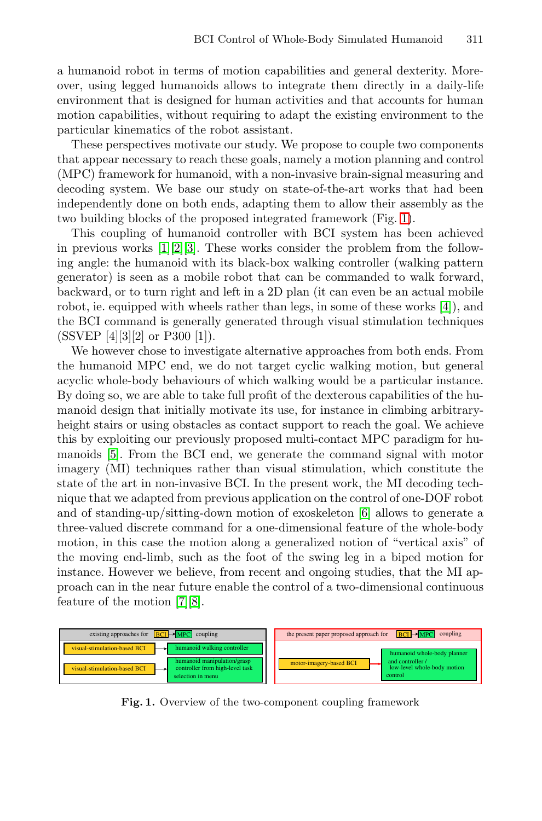a humanoid robot in terms of motion capabilities and general dexterity. Moreover, using legged humanoids allows to integrate them directly in a daily-life environment that is designed for human activities and that accounts for human motion capabilities, without requiring to adapt the existing environment to the particular kinematics of the robot assistant.

These perspectives motivate our study. We propose to couple two components that appear necessary to reach these goals, namely a motion planning and control (MPC) framework for humanoid, with a non-invasive brain-signal measuring and decoding system. We base our study on state-of-the-art works that had been independently done on both ends, adapting them to allow their assembly as the two building blocks of the proposed integrated framework (Fig. [1\)](#page-1-0).

This coupling of humanoid controller with BCI system has been achieved in previous works  $[1][2][3]$  $[1][2][3]$  $[1][2][3]$ . These works consider the problem from the following angle: the humanoid with its black-box walking controller (walking pattern generator) is seen as a mobile robot that can be commanded to walk forward, backward, or to turn right and left in a 2D plan (it can even be an actual mobile robot, ie. equipped with wheels rather than legs, in some of these works [\[4\]](#page-7-0)), and the BCI command is generally generated through visual stimulation techniques  $(SSVEP [4][3][2] \text{ or } P300 [1]).$ 

We however chose to investigate alternative approaches from both ends. From the humanoid MPC end, we do not target cyclic walking motion, but general acyclic whole-body behaviours of which walking would be a particular instance. By doing so, we are able to take full profit of the dexterous capabilities of the humanoid design that initially motivate its use, for instance in climbing arbitraryheight stairs or using obstacles as contact support to reach the goal. We achieve this by exploiting our previously proposed multi-contact MPC paradigm for humanoids [\[5\]](#page-7-5). From the BCI end, we generate the command signal with motor imagery (MI) techniques rather than visual stimulation, which constitute the state of the art in non-invasive BCI. In the present work, the MI decoding technique that we adapted from previous application on the control of one-DOF robot and of standing-up/sitting-down motion of exoskeleton [\[6\]](#page-7-3) allows to generate a three-valued discrete command for a one-dimensional feature of the whole-body motion, in this case the motion along a generalized notion of "vertical axis" of the moving end-limb, such as the foot of the swing leg in a biped motion for instance. However we believe, from recent and ongoing studies, that the MI approach can in the near future enable the control of a two-dimensional continuous feature of the motion [\[7\]](#page-8-1)[\[8\]](#page-8-2).

<span id="page-1-0"></span>

**Fig. 1.** Overview of the two-component coupling framework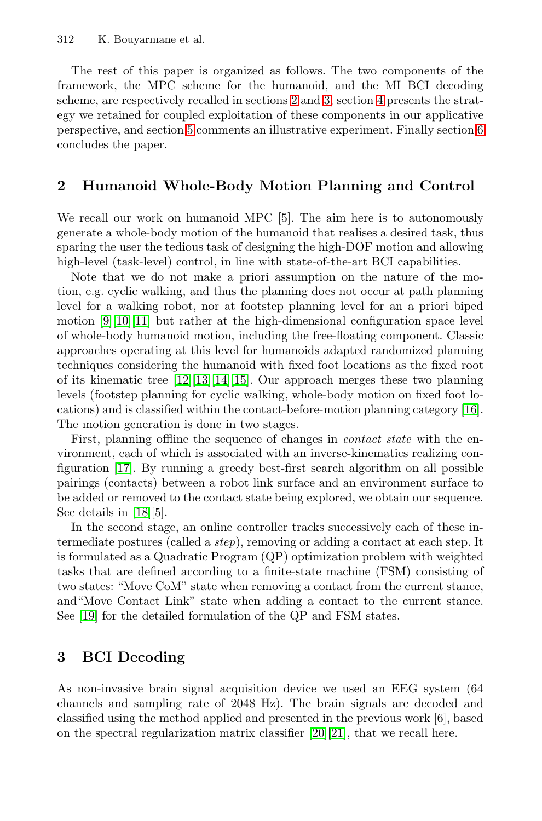<span id="page-2-1"></span>The rest of this paper is organized as follows. The two components of the framework, the MPC scheme for the humanoid, and the MI BCI decoding scheme, are respectively recalled in sections [2](#page-2-1) and [3,](#page-2-0) section [4](#page-3-0) presents the strategy we retained for coupled exploitation of these components in our applicative perspective, and section [5](#page-5-0) comments an illustrative experiment. Finally section [6](#page-7-6) concludes the paper.

## **2 Humanoid Whole-Body Motion Planning and Control**

We recall our work on humanoid MPC [5]. The aim here is to autonomously generate a whole-body motion of the humanoid that realises a desired task, thus sparing the user the tedious task of designing the high-DOF motion and allowing high-level (task-level) control, in line with state-of-the-art BCI capabilities.

Note that we do not make a priori assumption on the nature of the motion, e.g. cyclic walking, and thus the planning does not occur at path planning level for a walking robot, nor at footstep planning level for an a priori biped motion  $[9][10][11]$  $[9][10][11]$  $[9][10][11]$  but rather at the high-dimensional configuration space level of whole-body humanoid motion, including the free-floating component. Classic approaches operating at this level for humanoids adapted randomized planning techniques considering the humanoid with fixed foot locations as the fixed root of its kinematic tree [\[12\]](#page-8-11)[\[13\]](#page-8-4)[\[14\]](#page-8-10)[\[15\]](#page-8-12). Our approach merges these two planning levels (footstep planning for cyclic walking, whole-body motion on fixed foot locations) and is classified within the contact-before-motion planning category [\[16\]](#page-8-3). The motion generation is done in two stages.

First, planning offline the sequence of changes in *contact state* with the environment, each of which is associated with an inverse-kinematics realizing configuration [\[17\]](#page-8-5). By running a greedy best-first search algorithm on all possible pairings (contacts) between a robot link surface and an environment surface to be added or removed to the contact state being explored, we obtain our sequence. See details in [\[18\]](#page-8-6)[5].

<span id="page-2-0"></span>In the second stage, an online controller tracks successively each of these intermediate postures (called a step), removing or adding a contact at each step. It is formulated as a Quadratic Program (QP) optimization problem with weighted tasks that are defined according to a finite-state machine (FSM) consisting of two states: "Move CoM" state when removing a contact from the current stance, and"Move Contact Link" state when adding a contact to the current stance. See [\[19\]](#page-8-13) for the detailed formulation of the QP and FSM states.

## **3 BCI Decoding**

As non-invasive brain signal acquisition device we used an EEG system (64 channels and sampling rate of 2048 Hz). The brain signals are decoded and classified using the method applied and presented in the previous work [6], based on the spectral regularization matrix classifier [\[20\]](#page-8-8)[\[21\]](#page-8-9), that we recall here.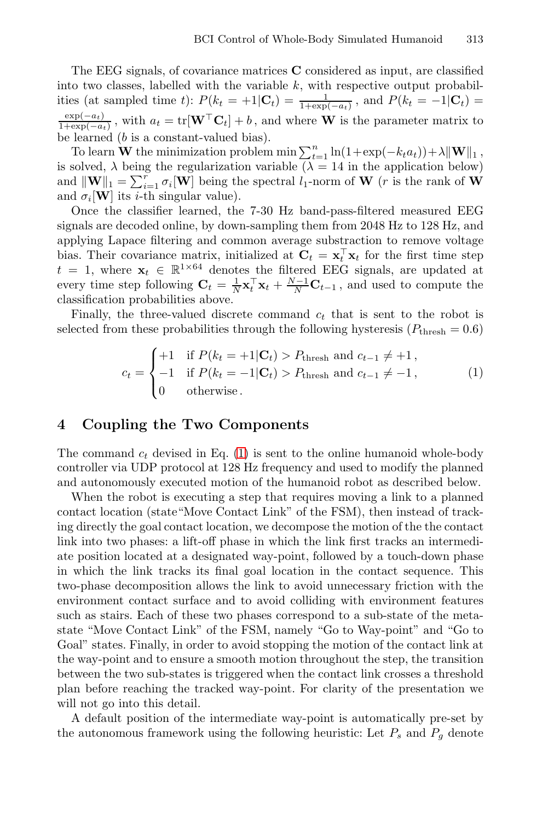The EEG signals, of covariance matrices **C** considered as input, are classified into two classes, labelled with the variable  $k$ , with respective output probabilities (at sampled time t):  $P(k_t = +1 | \mathbf{C}_t) = \frac{1}{1 + \exp(-a_t)}$ , and  $P(k_t = -1 | \mathbf{C}_t) =$  $\frac{\exp(-a_t)}{1+\exp(-a_t)}$ , with  $a_t = \text{tr}[\mathbf{W}^\top \mathbf{C}_t] + b$ , and where **W** is the parameter matrix to be learned (b is a constant-valued bias).

To learn **W** the minimization problem min  $\sum_{t=1}^{n} \ln(1+\exp(-k_t a_t)) + \lambda ||\mathbf{W}||_1$ , is solved,  $\lambda$  being the regularization variable ( $\lambda = 14$  in the application below) and  $\|\mathbf{W}\|_1 = \sum_{i=1}^r \sigma_i[\mathbf{W}]$  being the spectral  $l_1$ -norm of **W** (*r* is the rank of **W** and  $\sigma_i[\mathbf{W}]$  its *i*-th singular value).

Once the classifier learned, the 7-30 Hz band-pass-filtered measured EEG signals are decoded online, by down-sampling them from 2048 Hz to 128 Hz, and applying Lapace filtering and common average substraction to remove voltage bias. Their covariance matrix, initialized at  $C_t = \mathbf{x}_t^{\top} \mathbf{x}_t$  for the first time step  $t = 1$ , where  $\mathbf{x}_t \in \mathbb{R}^{1 \times 64}$  denotes the filtered EEG signals, are updated at every time step following  $\mathbf{C}_t = \frac{1}{N} \mathbf{x}_t^{\top} \mathbf{x}_t + \frac{N-1}{N} \mathbf{C}_{t-1}$ , and used to compute the classification probabilities above.

Finally, the three-valued discrete command  $c_t$  that is sent to the robot is selected from these probabilities through the following hysteresis ( $P_{\text{thresh}} = 0.6$ )

<span id="page-3-1"></span><span id="page-3-0"></span>
$$
c_t = \begin{cases} +1 & \text{if } P(k_t = +1 | \mathbf{C}_t) > P_{\text{thresh}} \text{ and } c_{t-1} \neq +1, \\ -1 & \text{if } P(k_t = -1 | \mathbf{C}_t) > P_{\text{thresh}} \text{ and } c_{t-1} \neq -1, \\ 0 & \text{otherwise.} \end{cases} \tag{1}
$$

#### **4 Coupling the Two Components**

The command  $c_t$  devised in Eq. [\(1\)](#page-3-1) is sent to the online humanoid whole-body controller via UDP protocol at 128 Hz frequency and used to modify the planned and autonomously executed motion of the humanoid robot as described below.

When the robot is executing a step that requires moving a link to a planned contact location (state"Move Contact Link" of the FSM), then instead of tracking directly the goal contact location, we decompose the motion of the the contact link into two phases: a lift-off phase in which the link first tracks an intermediate position located at a designated way-point, followed by a touch-down phase in which the link tracks its final goal location in the contact sequence. This two-phase decomposition allows the link to avoid unnecessary friction with the environment contact surface and to avoid colliding with environment features such as stairs. Each of these two phases correspond to a sub-state of the metastate "Move Contact Link" of the FSM, namely "Go to Way-point" and "Go to Goal" states. Finally, in order to avoid stopping the motion of the contact link at the way-point and to ensure a smooth motion throughout the step, the transition between the two sub-states is triggered when the contact link crosses a threshold plan before reaching the tracked way-point. For clarity of the presentation we will not go into this detail.

A default position of the intermediate way-point is automatically pre-set by the autonomous framework using the following heuristic: Let  $P_s$  and  $P_g$  denote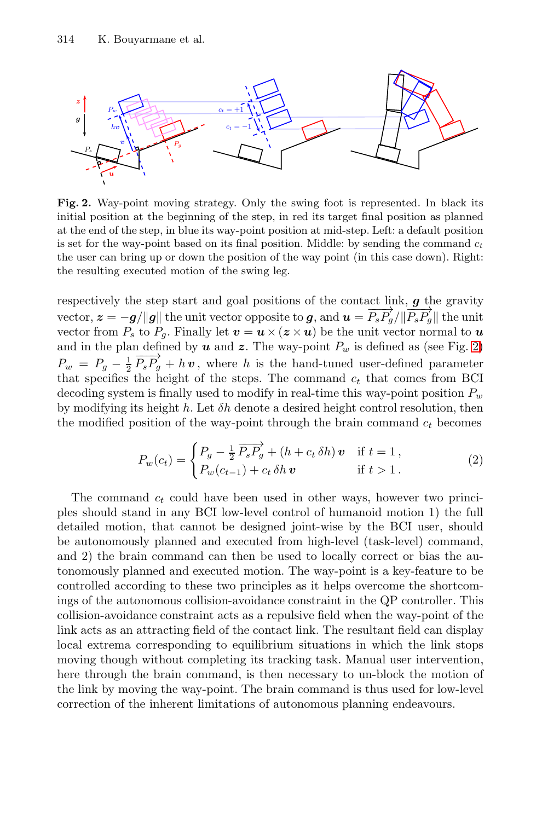<span id="page-4-0"></span>

**Fig. 2.** Way-point moving strategy. Only the swing foot is represented. In black its initial position at the beginning of the step, in red its target final position as planned at the end of the step, in blue its way-point position at mid-step. Left: a default position is set for the way-point based on its final position. Middle: by sending the command  $c_t$ the user can bring up or down the position of the way point (in this case down). Right: the resulting executed motion of the swing leg.

respectively the step start and goal positions of the contact link, *g* the gravity vector,  $z = -g/||g||$  the unit vector opposite to *g*, and  $u = \frac{\overline{P_s P_g}}{||\overline{P_s P_g}}||$  the unit vector from *P* to *P*. Finally let  $v = u \times (z \times v)$  be the unit vector normal to *u* vector from  $P_s$  to  $P_q$ . Finally let  $\boldsymbol{v} = \boldsymbol{u} \times (\boldsymbol{z} \times \boldsymbol{u})$  be the unit vector normal to  $\boldsymbol{u}$ and in the plan defined by  $u$  and  $z$ . The way-point  $P_w$  is defined as (see Fig. [2\)](#page-4-0)  $P_w = P_g - \frac{1}{2} \overrightarrow{P_s P_g} + h \, \boldsymbol{v}$ , where h is the hand-tuned user-defined parameter<br>that specifies the height of the steps. The command c, that comes from BCI that specifies the height of the steps. The command  $c_t$  that comes from BCI decoding system is finally used to modify in real-time this way-point position  $P_w$ by modifying its height h. Let  $\delta h$  denote a desired height control resolution, then the modified position of the way-point through the brain command  $c_t$  becomes

$$
P_w(c_t) = \begin{cases} P_g - \frac{1}{2} \overrightarrow{P_s P_g} + (h + c_t \delta h) \mathbf{v} & \text{if } t = 1, \\ P_w(c_{t-1}) + c_t \delta h \mathbf{v} & \text{if } t > 1. \end{cases}
$$
(2)

The command  $c_t$  could have been used in other ways, however two principles should stand in any BCI low-level control of humanoid motion 1) the full detailed motion, that cannot be designed joint-wise by the BCI user, should be autonomously planned and executed from high-level (task-level) command, and 2) the brain command can then be used to locally correct or bias the autonomously planned and executed motion. The way-point is a key-feature to be controlled according to these two principles as it helps overcome the shortcomings of the autonomous collision-avoidance constraint in the QP controller. This collision-avoidance constraint acts as a repulsive field when the way-point of the link acts as an attracting field of the contact link. The resultant field can display local extrema corresponding to equilibrium situations in which the link stops moving though without completing its tracking task. Manual user intervention, here through the brain command, is then necessary to un-block the motion of the link by moving the way-point. The brain command is thus used for low-level correction of the inherent limitations of autonomous planning endeavours.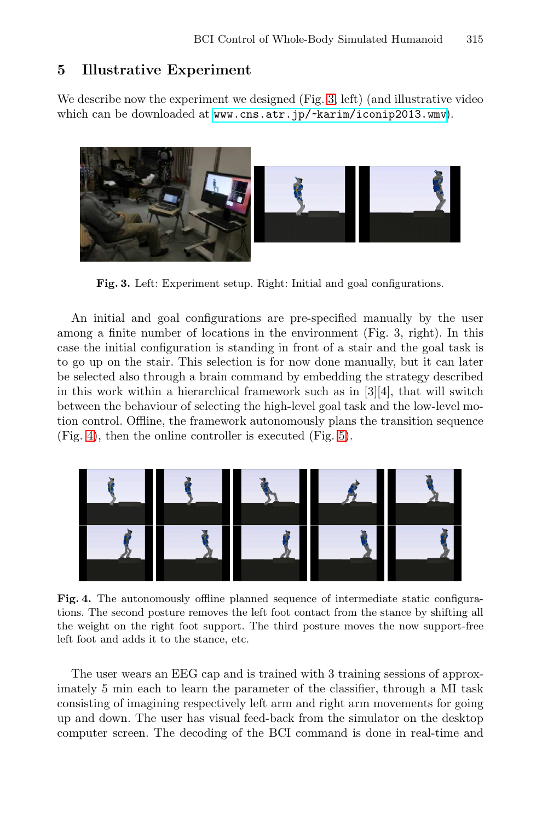### <span id="page-5-1"></span><span id="page-5-0"></span>**5 Illustrative Experiment**

We describe now the experiment we designed (Fig. [3,](#page-5-1) left) (and illustrative video which can be downloaded at <www.cns.atr.jp/~karim/iconip2013.wmv>).



**Fig. 3.** Left: Experiment setup. Right: Initial and goal configurations.

<span id="page-5-2"></span>An initial and goal configurations are pre-specified manually by the user among a finite number of locations in the environment (Fig. 3, right). In this case the initial configuration is standing in front of a stair and the goal task is to go up on the stair. This selection is for now done manually, but it can later be selected also through a brain command by embedding the strategy described in this work within a hierarchical framework such as in  $[3][4]$ , that will switch between the behaviour of selecting the high-level goal task and the low-level motion control. Offline, the framework autonomously plans the transition sequence (Fig. [4\)](#page-5-2), then the online controller is executed (Fig. [5\)](#page-6-0).



**Fig. 4.** The autonomously offline planned sequence of intermediate static configurations. The second posture removes the left foot contact from the stance by shifting all the weight on the right foot support. The third posture moves the now support-free left foot and adds it to the stance, etc.

The user wears an EEG cap and is trained with 3 training sessions of approximately 5 min each to learn the parameter of the classifier, through a MI task consisting of imagining respectively left arm and right arm movements for going up and down. The user has visual feed-back from the simulator on the desktop computer screen. The decoding of the BCI command is done in real-time and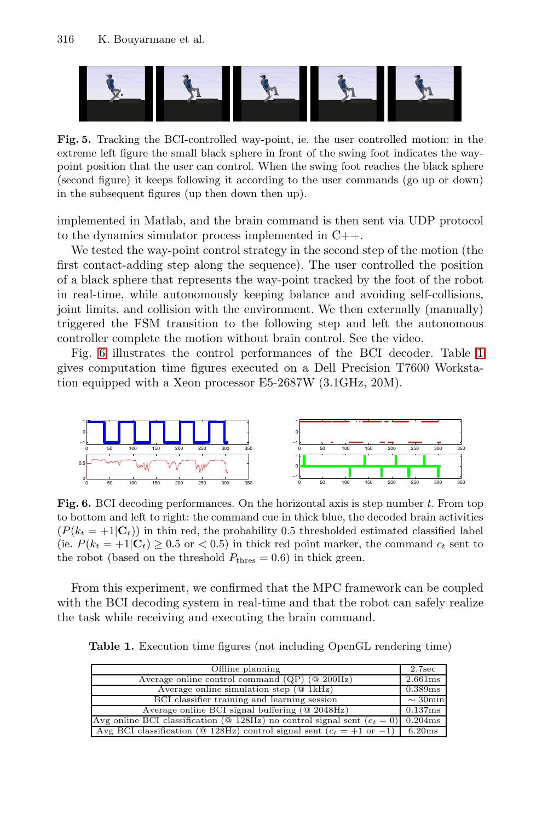<span id="page-6-0"></span>

**Fig. 5.** Tracking the BCI-controlled way-point, ie. the user controlled motion: in the extreme left figure the small black sphere in front of the swing foot indicates the waypoint position that the user can control. When the swing foot reaches the black sphere (second figure) it keeps following it according to the user commands (go up or down) in the subsequent figures (up then down then up).

implemented in Matlab, and the brain command is then sent via UDP protocol to the dynamics simulator process implemented in C++.

We tested the way-point control strategy in the second step of the motion (the first contact-adding step along the sequence). The user controlled the position of a black sphere that represents the way-point tracked by the foot of the robot in real-time, while autonomously keeping balance and avoiding self-collisions, joint limits, and collision with the environment. We then externally (manually) triggered the FSM transition to the following step and left the autonomous controller complete the motion without brain control. See the video.

<span id="page-6-1"></span>Fig. [6](#page-6-1) illustrates the control performances of the BCI decoder. Table [1](#page-6-2) gives computation time figures executed on a Dell Precision T7600 Workstation equipped with a Xeon processor E5-2687W (3.1GHz, 20M).



<span id="page-6-2"></span>**Fig. 6.** BCI decoding performances. On the horizontal axis is step number t. From top to bottom and left to right: the command cue in thick blue, the decoded brain activities  $(P(k_t = +1|\mathbf{C}_t))$  in thin red, the probability 0.5 thresholded estimated classified label (ie.  $P(k_t = +1|\mathbf{C}_t) \geq 0.5$  or  $\lt 0.5$ ) in thick red point marker, the command  $c_t$  sent to the robot (based on the threshold  $P_{\text{thres}} = 0.6$ ) in thick green.

From this experiment, we confirmed that the MPC framework can be coupled with the BCI decoding system in real-time and that the robot can safely realize the task while receiving and executing the brain command.

| <b>Table 1.</b> Execution time figures (not including OpenGL rendering time) |
|------------------------------------------------------------------------------|
|------------------------------------------------------------------------------|

| Offline planning                                                                                  | 2.7 <sub>sec</sub> |
|---------------------------------------------------------------------------------------------------|--------------------|
| Average online control command $(QP)$ ( $@$ 200Hz)                                                | 2.661ms            |
| Average online simulation step $(@1kHz)$                                                          | 0.389ms            |
| BCI classifier training and learning session                                                      | $\sim$ 30 min      |
| Average online BCI signal buffering $(Q 2048Hz)$                                                  | 0.137ms            |
| Avg online BCI classification ( $\mathcal{Q}$ 128Hz) no control signal sent ( $c_t = 0$ ) 0.204ms |                    |
| Avg BCI classification ( $@$ 128Hz) control signal sent ( $c_t = +1$ or $-1$ ) 6.20ms             |                    |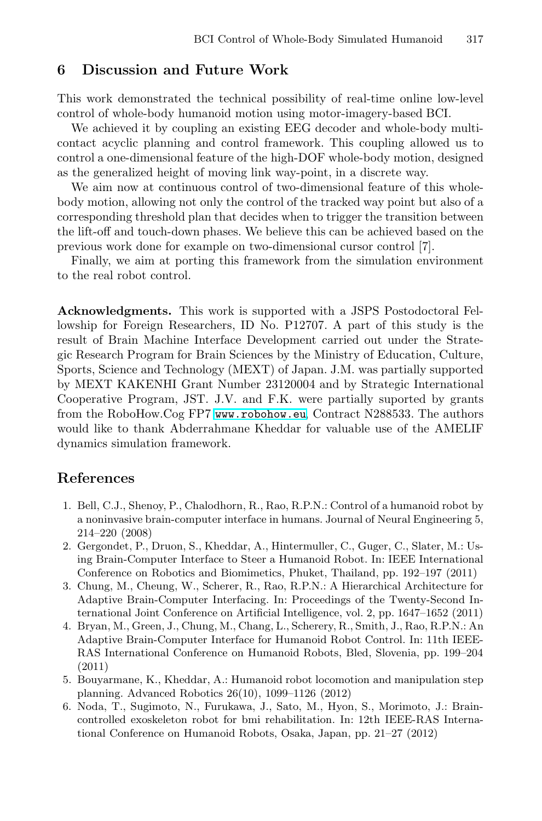#### <span id="page-7-6"></span>**6 Discussion and Future Work**

This work demonstrated the technical possibility of real-time online low-level control of whole-body humanoid motion using motor-imagery-based BCI.

We achieved it by coupling an existing EEG decoder and whole-body multicontact acyclic planning and control framework. This coupling allowed us to control a one-dimensional feature of the high-DOF whole-body motion, designed as the generalized height of moving link way-point, in a discrete way.

We aim now at continuous control of two-dimensional feature of this wholebody motion, allowing not only the control of the tracked way point but also of a corresponding threshold plan that decides when to trigger the transition between the lift-off and touch-down phases. We believe this can be achieved based on the previous work done for example on two-dimensional cursor control [7].

Finally, we aim at porting this framework from the simulation environment to the real robot control.

<span id="page-7-4"></span>**Acknowledgments.** This work is supported with a JSPS Postodoctoral Fellowship for Foreign Researchers, ID No. P12707. A part of this study is the result of Brain Machine Interface Development carried out under the Strategic Research Program for Brain Sciences by the Ministry of Education, Culture, Sports, Science and Technology (MEXT) of Japan. J.M. was partially supported by MEXT KAKENHI Grant Number 23120004 and by Strategic International Cooperative Program, JST. J.V. and F.K. were partially suported by grants from the RoboHow.Cog FP7 <www.robohow.eu>, Contract N288533. The authors would like to thank Abderrahmane Kheddar for valuable use of the AMELIF dynamics simulation framework.

#### <span id="page-7-1"></span>**References**

- <span id="page-7-2"></span><span id="page-7-0"></span>1. Bell, C.J., Shenoy, P., Chalodhorn, R., Rao, R.P.N.: Control of a humanoid robot by a noninvasive brain-computer interface in humans. Journal of Neural Engineering 5, 214–220 (2008)
- 2. Gergondet, P., Druon, S., Kheddar, A., Hintermuller, C., Guger, C., Slater, M.: Using Brain-Computer Interface to Steer a Humanoid Robot. In: IEEE International Conference on Robotics and Biomimetics, Phuket, Thailand, pp. 192–197 (2011)
- <span id="page-7-5"></span><span id="page-7-3"></span>3. Chung, M., Cheung, W., Scherer, R., Rao, R.P.N.: A Hierarchical Architecture for Adaptive Brain-Computer Interfacing. In: Proceedings of the Twenty-Second International Joint Conference on Artificial Intelligence, vol. 2, pp. 1647–1652 (2011)
- 4. Bryan, M., Green, J., Chung, M., Chang, L., Scherery, R., Smith, J., Rao, R.P.N.: An Adaptive Brain-Computer Interface for Humanoid Robot Control. In: 11th IEEE-RAS International Conference on Humanoid Robots, Bled, Slovenia, pp. 199–204 (2011)
- 5. Bouyarmane, K., Kheddar, A.: Humanoid robot locomotion and manipulation step planning. Advanced Robotics 26(10), 1099–1126 (2012)
- 6. Noda, T., Sugimoto, N., Furukawa, J., Sato, M., Hyon, S., Morimoto, J.: Braincontrolled exoskeleton robot for bmi rehabilitation. In: 12th IEEE-RAS International Conference on Humanoid Robots, Osaka, Japan, pp. 21–27 (2012)